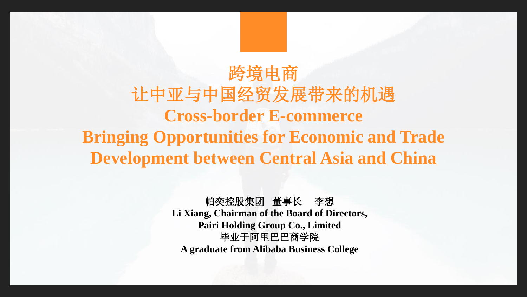# 跨境电商 让中亚与中国经贸发展带来的机遇 **Cross-border E-commerce Bringing Opportunities for Economic and Trade Development between Central Asia and China**

帕奕控股集团 董事长 李想 **Li Xiang, Chairman of the Board of Directors, Pairi Holding Group Co., Limited** 毕业于阿里巴巴商学院 **A graduate from Alibaba Business College**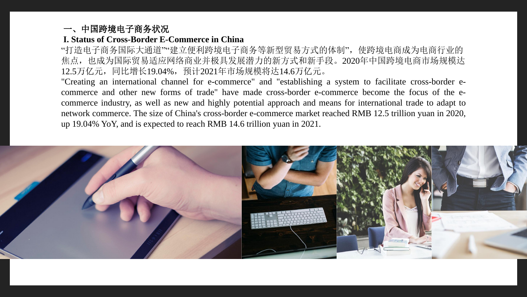### 一、中国跨境电子商务状况

## **I. Status of Cross-Border E-Commerce in China**

"打造电子商务国际大通道""建立便利跨境电子商务等新型贸易方式的体制",使跨境电商成为电商行业的 焦点,也成为国际贸易适应网络商业并极具发展潜力的新方式和新手段。2020年中国跨境电商市场规模达 12.5万亿元,同比增长19.04%,预计2021年市场规模将达14.6万亿元。

"Creating an international channel for e-commerce" and "establishing a system to facilitate cross-border ecommerce and other new forms of trade" have made cross-border e-commerce become the focus of the ecommerce industry, as well as new and highly potential approach and means for international trade to adapt to network commerce. The size of China's cross-border e-commerce market reached RMB 12.5 trillion yuan in 2020, up 19.04% YoY, and is expected to reach RMB 14.6 trillion yuan in 2021.

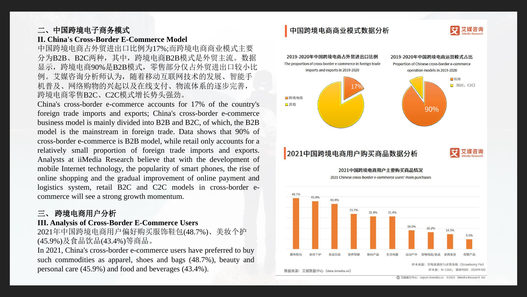### 二、中国跨境电子商务模式

#### **II. China's Cross-Border E-Commerce Model**

中国跨境电商占外贸进出口比例为17%;而跨境电商商业模式主要 分为B2B、B2C两种,其中,跨境电商B2B模式是外贸主流。数据 显示,跨境电商90%是B2B模式,零售部分仅占外贸进出口较小比 例。艾媒咨询分析师认为,随着移动互联网技术的发展、智能手 机普及、网络购物的兴起以及在线支付、物流体系的逐步完善, 跨境电商零售B2C、C2C模式增长势头强劲。

China's cross-border e-commerce accounts for 17% of the country's foreign trade imports and exports; China's cross-border e-commerce business model is mainly divided into B2B and B2C, of which, the B2B model is the mainstream in foreign trade. Data shows that 90% of cross-border e-commerce is B2B model, while retail only accounts for a relatively small proportion of foreign trade imports and exports. Analysts at iiMedia Research believe that with the development of mobile Internet technology, the popularity of smart phones, the rise of online shopping and the gradual improvement of online payment and logistics system, retail B2C and C2C models in cross-border ecommerce will see a strong growth momentum.

#### 三、 跨境电商用户分析

#### **III. Analysis of Cross-Border E-Commerce Users**

2021年中国跨境电商用户偏好购买服饰鞋包(48.7%)、美妆个护 (45.9%)及食品饮品(43.4%)等商品。

In 2021, China's cross-border e-commerce users have preferred to buy such commodities as apparel, shoes and bags (48.7%), beauty and personal care (45.9%) and food and beverages (43.4%).

#### 中国跨境电商商业模式数据分析

■跨境电商 国其他



2021 Chinese cross-border e-commerce users' main purchases

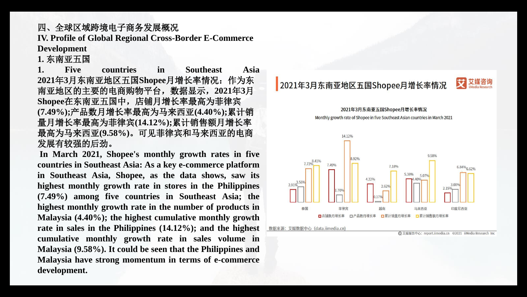# 四、全球区域跨境电子商务发展概况 **IV. Profile of Global Regional Cross-Border E-Commerce**

**Development**

**1.** 东南亚五国

**1. Five countries in Southeast Asia 2021**年**3**月东南亚地区五国**Shopee**月增长率情况:作为东 南亚地区的主要的电商购物平台,数据显示,**2021**年**3**月 **Shopee**在东南亚五国中,店铺月增长率最高为菲律宾 **(7.49%);**产品数月增长率最高为马来西亚**(4.40%);**累计销 量月增长率最高为菲律宾**(14.12%);**累计销售额月增长率 最高为马来西亚**(9.58%)**。可见菲律宾和马来西亚的电商 发展有较强的后劲。

**In March 2021, Shopee's monthly growth rates in five countries in Southeast Asia: As a key e-commerce platform in Southeast Asia, Shopee, as the data shows, saw its highest monthly growth rate in stores in the Philippines (7.49%) among five countries in Southeast Asia; the highest monthly growth rate in the number of products in Malaysia (4.40%); the highest cumulative monthly growth rate in sales in the Philippines (14.12%); and the highest cumulative monthly growth rate in sales volume in Malaysia (9.58%). It could be seen that the Philippines and Malaysia have strong momentum in terms of e-commerce development.**

2021年3月东南亚地区五国Shopee月增长率情况



2021年3月东南亚五国Shopee月增长率情况

Monthly growth rate of Shopee in five Southeast Asian countries in March 2021

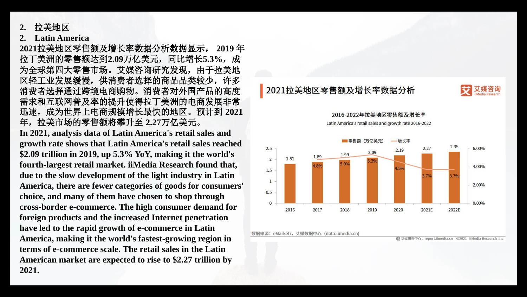**2.** 拉美地区

#### **2. Latin America**

**2021**拉美地区零售额及增长率数据分析数据显示, **2019** 年 拉丁美洲的零售额达到**2.09**万亿美元,同比增长**5.3%**,成 为全球第四大零售市场。艾媒咨询研究发现,由于拉美地 区轻工业发展缓慢,供消费者选择的商品品类较少,许多 消费者选择通过跨境电商购物。消费者对外国产品的高度 需求和互联网普及率的提升使得拉丁美洲的电商发展非常 迅速,成为世界上电商规模增长最快的地区。预计到 **2021**  年,拉美市场的零售额将攀升至 **2.27**万亿美元。

**In 2021, analysis data of Latin America's retail sales and growth rate shows that Latin America's retail sales reached \$2.09 trillion in 2019, up 5.3% YoY, making it the world's fourth-largest retail market. iiMedia Research found that, due to the slow development of the light industry in Latin America, there are fewer categories of goods for consumers' choice, and many of them have chosen to shop through cross-border e-commerce. The high consumer demand for foreign products and the increased Internet penetration have led to the rapid growth of e-commerce in Latin America, making it the world's fastest-growing region in terms of e-commerce scale. The retail sales in the Latin American market are expected to rise to \$2.27 trillion by 2021.**





2016-2022年拉美地区零售额及增长率

Latin America's retail sales and growth rate 2016-2022



数据来源: eMarketr,艾媒数据中心(data.iimedia.cn)

**← 艾媒报告中心: report.iimedia.cn ©2021 iiMedia Research Ind**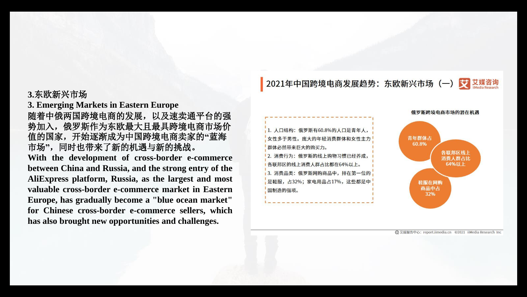**3.**东欧新兴市场

**3. Emerging Markets in Eastern Europe** 随着中俄两国跨境电商的发展,以及速卖通平台的强 势加入,俄罗斯作为东欧最大且最具跨境电商市场价 值的国家,开始逐渐成为中国跨境电商卖家的**"**蓝海 市场**"** ,同时也带来了新的机遇与新的挑战。

**With the development of cross-border e-commerce between China and Russia, and the strong entry of the AliExpress platform, Russia, as the largest and most valuable cross-border e-commerce market in Eastern Europe, has gradually become a "blue ocean market" for Chinese cross-border e-commerce sellers, which has also brought new opportunities and challenges.**

2021年中国跨境电商发展趋势: 东欧新兴市场 (一) 文 艾媒咨询

1. 人口结构: 俄罗斯有60.8%的人口是青年人, 女性多于男性。庞大的年轻消费群体和女性主力 群体必然带来巨大的购买力。

2. 消费行为:俄罗斯的线上购物习惯已经养成, 各联邦区的线上消费人群占比都在64%以上。 3. 消费品类: 俄罗斯网购商品中, 排在第一位的 是鞋服, 占32%; 家电用品占17%, 这些都是中 国制造的强项。



俄罗斯跨境电商市场的潜在机遇

→ 艾媒报告中心: report.iimedia.cn ©2021 iiMedia Research Inc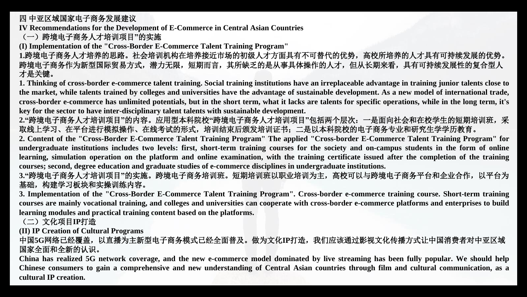四 中亚区域国家电子商务发展建议

**IV Recommendations for the Development of E-Commerce in Central Asian Countries**

(一)跨境电子商务人才培训项目**"**的实施

**(I) Implementation of the "Cross-Border E-Commerce Talent Training Program"**

**1.**跨境电子商务人才培养的思路。社会培训机构在培养接近市场的初级人才方面具有不可替代的优势,高校所培养的人才具有可持续发展的优势。 跨境电子商务作为新型国际贸易方式,潜力无限,短期而言,其所缺乏的是从事具体操作的人才,但从长期来看,具有可持续发展性的复合型人 才是关键。

1. Thinking of cross-border e-commerce talent training. Social training institutions have an irreplaceable advantage in training junior talents close to the market, while talents trained by colleges and universities have the advantage of sustainable development. As a new model of international trade, cross-border e-commerce has unlimited potentials, but in the short term, what it lacks are talents for specific operations, while in the long term, it's **key for the sector to have inter-disciplinary talent talents with sustainable development.**

**2."**跨境电子商务人才培训项目**"**的内容。应用型本科院校**"**跨境电子商务人才培训项目**"**包括两个层次:一是面向社会和在校学生的短期培训班,采 取线上学习、在平台进行模拟操作、在线考试的形式,培训结束后颁发培训证书;二是以本科院校的电子商务专业和研究生学学历教育。

2. Content of the "Cross-Border E-Commerce Talent Training Program" The applied "Cross-border E-Commerce Talent Training Program" for undergraduate institutions includes two levels: first, short-term training courses for the society and on-campus students in the form of online learning, simulation operation on the platform and online examination, with the training certificate issued after the completion of the training **courses; second, degree education and graduate studies of e-commerce disciplines in undergraduate institutions.**

**3."**跨境电子商务人才培训项目**"**的实施。跨境电子商务培训班。短期培训班以职业培训为主,高校可以与跨境电子商务平台和企业合作,以平台为 基础,构建学习板块和实操训练内容。

3. Implementation of the "Cross-Border E-Commerce Talent Training Program". Cross-border e-commerce training course. Short-term training courses are mainly vocational training, and colleges and universities can cooperate with cross-border e-commerce platforms and enterprises to build **learning modules and practical training content based on the platforms.**

(二)文化项目**IP**打造

**(II) IP Creation of Cultural Programs**

中国5G网络已经覆盖,以直播为主新型电子商务模式已经全面普及。做为文化IP打造,我们应该通过影视文化传播方式让中国消费者对中亚区域 国家全面和全新的认识。

China has realized 5G network coverage, and the new e-commerce model dominated by live streaming has been fully popular. We should help Chinese consumers to gain a comprehensive and new understanding of Central Asian countries through film and cultural communication, as a **cultural IP creation.**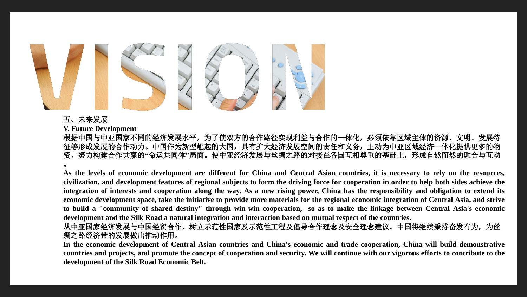

#### 五、未来发展

**V. Future Development**

根据中国与中亚国家不同的经济发展水平,为了使双方的合作路径实现利益与合作的一体化,必须依靠区域主体的资源、文明、发展特 征等形成发展的合作动力。中国作为新型崛起的大国,具有扩大经济发展空间的责任和义务,主动为中亚区域经济一体化提供更多的物 资,努力构建合作共赢的**"**命运共同体**"**局面。使中亚经济发展与丝绸之路的对接在各国互相尊重的基础上,形成自然而然的融合与互动 。

As the levels of economic development are different for China and Central Asian countries, it is necessary to rely on the resources, civilization, and development features of regional subjects to form the driving force for cooperation in order to help both sides achieve the integration of interests and cooperation along the way. As a new rising power, China has the responsibility and obligation to extend its economic development space, take the initiative to provide more materials for the regional economic integration of Central Asia, and strive to build a "community of shared destiny" through win-win cooperation, so as to make the linkage between Central Asia's economic development and the Silk Road a natural integration and interaction based on mutual respect of the countries.

从中亚国家经济发展与中国经贸合作,树立示范性国家及示范性工程及倡导合作理念及安全理念建议。中国将继续秉持奋发有为,为丝 绸之路经济带的发展做出推动作用。

In the economic development of Central Asian countries and China's economic and trade cooperation, China will build demonstrative countries and projects, and promote the concept of cooperation and security. We will continue with our vigorous efforts to contribute to the **development of the Silk Road Economic Belt.**